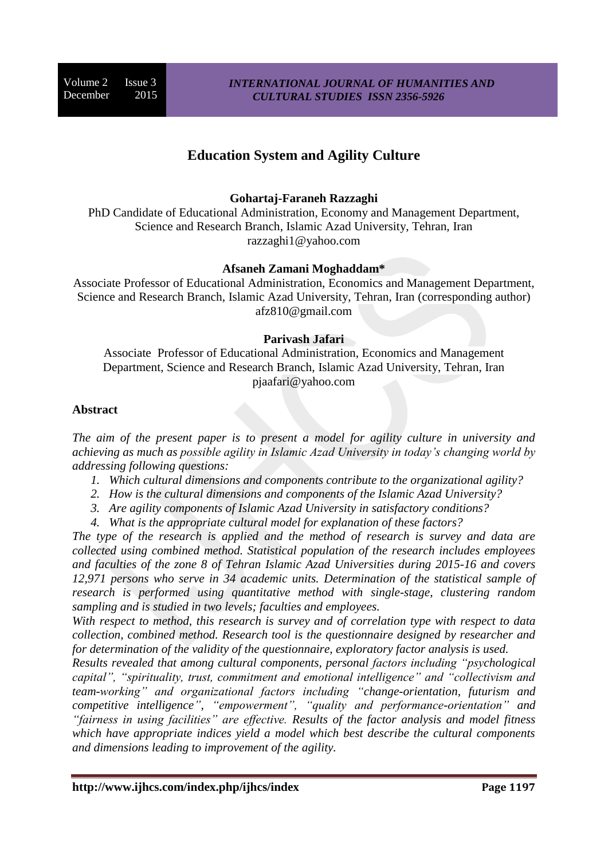Volume 2 Issue 3 December 2015

# **Education System and Agility Culture**

#### **Gohartaj-Faraneh Razzaghi**

PhD Candidate of Educational Administration, Economy and Management Department, Science and Research Branch, Islamic Azad University, Tehran, Iran razzaghi1@yahoo.com

#### **Afsaneh Zamani Moghaddam\***

Associate Professor of Educational Administration, Economics and Management Department, Science and Research Branch, Islamic Azad University, Tehran, Iran (corresponding author) afz810@gmail.com

#### **Parivash Jafari**

Associate Professor of Educational Administration, Economics and Management Department, Science and Research Branch, Islamic Azad University, Tehran, Iran pjaafari@yahoo.com

#### **Abstract**

*The aim of the present paper is to present a model for agility culture in university and achieving as much as possible agility in Islamic Azad University in today's changing world by addressing following questions:*

- *1. Which cultural dimensions and components contribute to the organizational agility?*
- *2. How is the cultural dimensions and components of the Islamic Azad University?*
- *3. Are agility components of Islamic Azad University in satisfactory conditions?*
- *4. What is the appropriate cultural model for explanation of these factors?*

*The type of the research is applied and the method of research is survey and data are collected using combined method. Statistical population of the research includes employees and faculties of the zone 8 of Tehran Islamic Azad Universities during 2015-16 and covers 12,971 persons who serve in 34 academic units. Determination of the statistical sample of research is performed using quantitative method with single-stage, clustering random sampling and is studied in two levels; faculties and employees.*

*With respect to method, this research is survey and of correlation type with respect to data collection, combined method. Research tool is the questionnaire designed by researcher and for determination of the validity of the questionnaire, exploratory factor analysis is used.*

*Results revealed that among cultural components, personal factors including "psychological capital", "spirituality, trust, commitment and emotional intelligence" and "collectivism and team-working" and organizational factors including "change-orientation, futurism and competitive intelligence", "empowerment", "quality and performance-orientation" and "fairness in using facilities" are effective. Results of the factor analysis and model fitness which have appropriate indices yield a model which best describe the cultural components and dimensions leading to improvement of the agility.*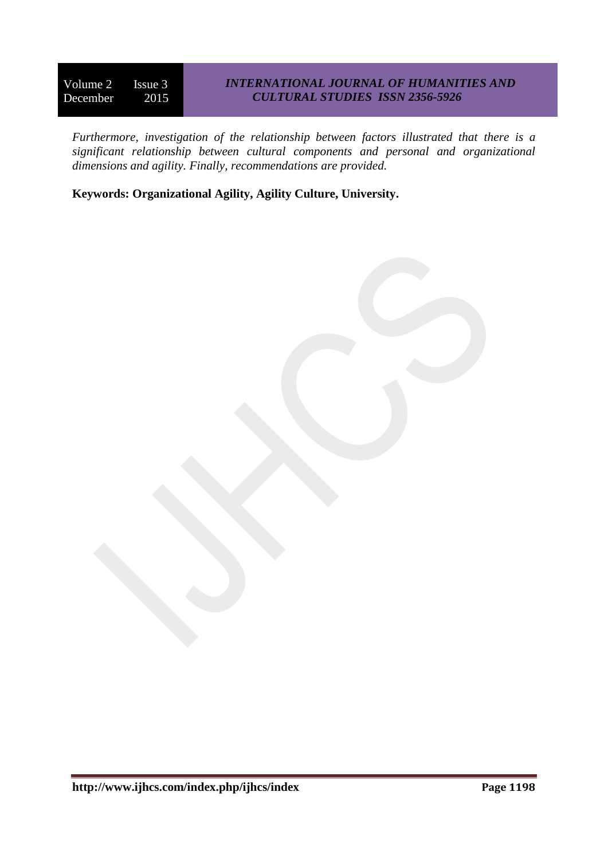## *INTERNATIONAL JOURNAL OF HUMANITIES AND CULTURAL STUDIES ISSN 2356-5926*

*Furthermore, investigation of the relationship between factors illustrated that there is a significant relationship between cultural components and personal and organizational dimensions and agility. Finally, recommendations are provided.*

**Keywords: Organizational Agility, Agility Culture, University.**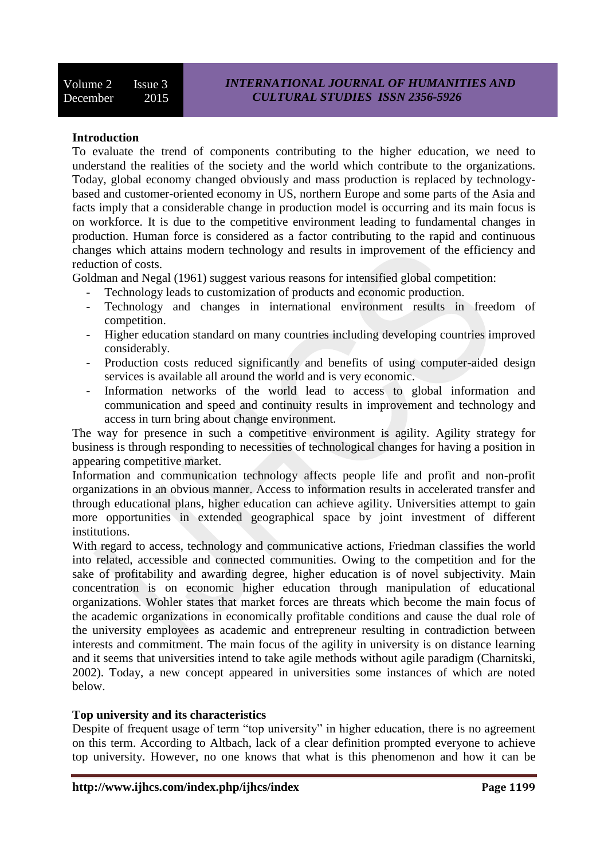## **Introduction**

To evaluate the trend of components contributing to the higher education, we need to understand the realities of the society and the world which contribute to the organizations. Today, global economy changed obviously and mass production is replaced by technologybased and customer-oriented economy in US, northern Europe and some parts of the Asia and facts imply that a considerable change in production model is occurring and its main focus is on workforce. It is due to the competitive environment leading to fundamental changes in production. Human force is considered as a factor contributing to the rapid and continuous changes which attains modern technology and results in improvement of the efficiency and reduction of costs.

Goldman and Negal (1961) suggest various reasons for intensified global competition:

- Technology leads to customization of products and economic production.
- Technology and changes in international environment results in freedom of competition.
- Higher education standard on many countries including developing countries improved considerably.
- Production costs reduced significantly and benefits of using computer-aided design services is available all around the world and is very economic.
- Information networks of the world lead to access to global information and communication and speed and continuity results in improvement and technology and access in turn bring about change environment.

The way for presence in such a competitive environment is agility. Agility strategy for business is through responding to necessities of technological changes for having a position in appearing competitive market.

Information and communication technology affects people life and profit and non-profit organizations in an obvious manner. Access to information results in accelerated transfer and through educational plans, higher education can achieve agility. Universities attempt to gain more opportunities in extended geographical space by joint investment of different institutions.

With regard to access, technology and communicative actions, Friedman classifies the world into related, accessible and connected communities. Owing to the competition and for the sake of profitability and awarding degree, higher education is of novel subjectivity. Main concentration is on economic higher education through manipulation of educational organizations. Wohler states that market forces are threats which become the main focus of the academic organizations in economically profitable conditions and cause the dual role of the university employees as academic and entrepreneur resulting in contradiction between interests and commitment. The main focus of the agility in university is on distance learning and it seems that universities intend to take agile methods without agile paradigm (Charnitski, 2002). Today, a new concept appeared in universities some instances of which are noted below.

#### **Top university and its characteristics**

Despite of frequent usage of term "top university" in higher education, there is no agreement on this term. According to Altbach, lack of a clear definition prompted everyone to achieve top university. However, no one knows that what is this phenomenon and how it can be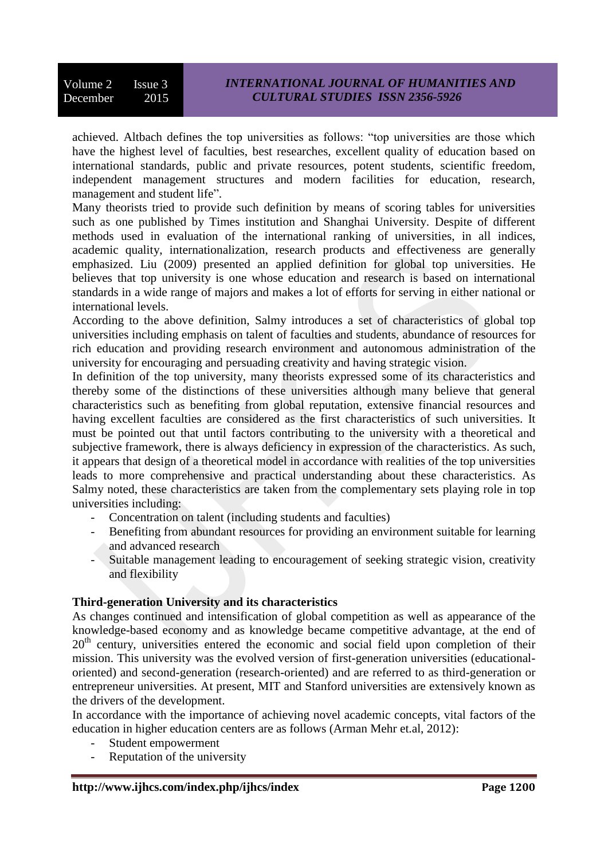achieved. Altbach defines the top universities as follows: "top universities are those which have the highest level of faculties, best researches, excellent quality of education based on international standards, public and private resources, potent students, scientific freedom, independent management structures and modern facilities for education, research, management and student life".

Many theorists tried to provide such definition by means of scoring tables for universities such as one published by Times institution and Shanghai University. Despite of different methods used in evaluation of the international ranking of universities, in all indices, academic quality, internationalization, research products and effectiveness are generally emphasized. Liu (2009) presented an applied definition for global top universities. He believes that top university is one whose education and research is based on international standards in a wide range of majors and makes a lot of efforts for serving in either national or international levels.

According to the above definition, Salmy introduces a set of characteristics of global top universities including emphasis on talent of faculties and students, abundance of resources for rich education and providing research environment and autonomous administration of the university for encouraging and persuading creativity and having strategic vision.

In definition of the top university, many theorists expressed some of its characteristics and thereby some of the distinctions of these universities although many believe that general characteristics such as benefiting from global reputation, extensive financial resources and having excellent faculties are considered as the first characteristics of such universities. It must be pointed out that until factors contributing to the university with a theoretical and subjective framework, there is always deficiency in expression of the characteristics. As such, it appears that design of a theoretical model in accordance with realities of the top universities leads to more comprehensive and practical understanding about these characteristics. As Salmy noted, these characteristics are taken from the complementary sets playing role in top universities including:

- Concentration on talent (including students and faculties)
- Benefiting from abundant resources for providing an environment suitable for learning and advanced research
- Suitable management leading to encouragement of seeking strategic vision, creativity and flexibility

## **Third-generation University and its characteristics**

As changes continued and intensification of global competition as well as appearance of the knowledge-based economy and as knowledge became competitive advantage, at the end of 20<sup>th</sup> century, universities entered the economic and social field upon completion of their mission. This university was the evolved version of first-generation universities (educationaloriented) and second-generation (research-oriented) and are referred to as third-generation or entrepreneur universities. At present, MIT and Stanford universities are extensively known as the drivers of the development.

In accordance with the importance of achieving novel academic concepts, vital factors of the education in higher education centers are as follows (Arman Mehr et.al, 2012):

- Student empowerment
- Reputation of the university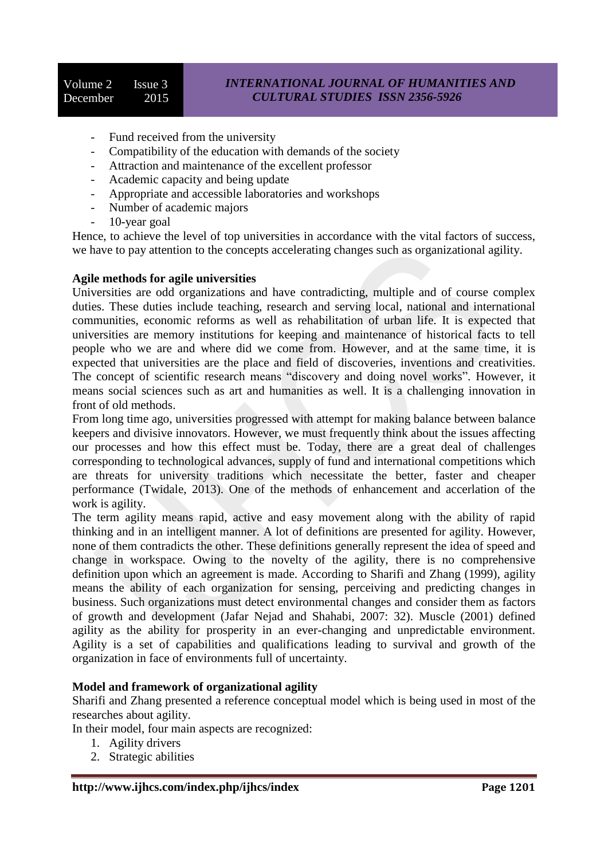- Fund received from the university
- Compatibility of the education with demands of the society
- Attraction and maintenance of the excellent professor
- Academic capacity and being update
- Appropriate and accessible laboratories and workshops
- Number of academic majors
- 10-year goal

Hence, to achieve the level of top universities in accordance with the vital factors of success, we have to pay attention to the concepts accelerating changes such as organizational agility.

### **Agile methods for agile universities**

Universities are odd organizations and have contradicting, multiple and of course complex duties. These duties include teaching, research and serving local, national and international communities, economic reforms as well as rehabilitation of urban life. It is expected that universities are memory institutions for keeping and maintenance of historical facts to tell people who we are and where did we come from. However, and at the same time, it is expected that universities are the place and field of discoveries, inventions and creativities. The concept of scientific research means "discovery and doing novel works". However, it means social sciences such as art and humanities as well. It is a challenging innovation in front of old methods.

From long time ago, universities progressed with attempt for making balance between balance keepers and divisive innovators. However, we must frequently think about the issues affecting our processes and how this effect must be. Today, there are a great deal of challenges corresponding to technological advances, supply of fund and international competitions which are threats for university traditions which necessitate the better, faster and cheaper performance (Twidale, 2013). One of the methods of enhancement and accerlation of the work is agility.

The term agility means rapid, active and easy movement along with the ability of rapid thinking and in an intelligent manner. A lot of definitions are presented for agility. However, none of them contradicts the other. These definitions generally represent the idea of speed and change in workspace. Owing to the novelty of the agility, there is no comprehensive definition upon which an agreement is made. According to Sharifi and Zhang (1999), agility means the ability of each organization for sensing, perceiving and predicting changes in business. Such organizations must detect environmental changes and consider them as factors of growth and development (Jafar Nejad and Shahabi, 2007: 32). Muscle (2001) defined agility as the ability for prosperity in an ever-changing and unpredictable environment. Agility is a set of capabilities and qualifications leading to survival and growth of the organization in face of environments full of uncertainty.

## **Model and framework of organizational agility**

Sharifi and Zhang presented a reference conceptual model which is being used in most of the researches about agility.

In their model, four main aspects are recognized:

- 1. Agility drivers
- 2. Strategic abilities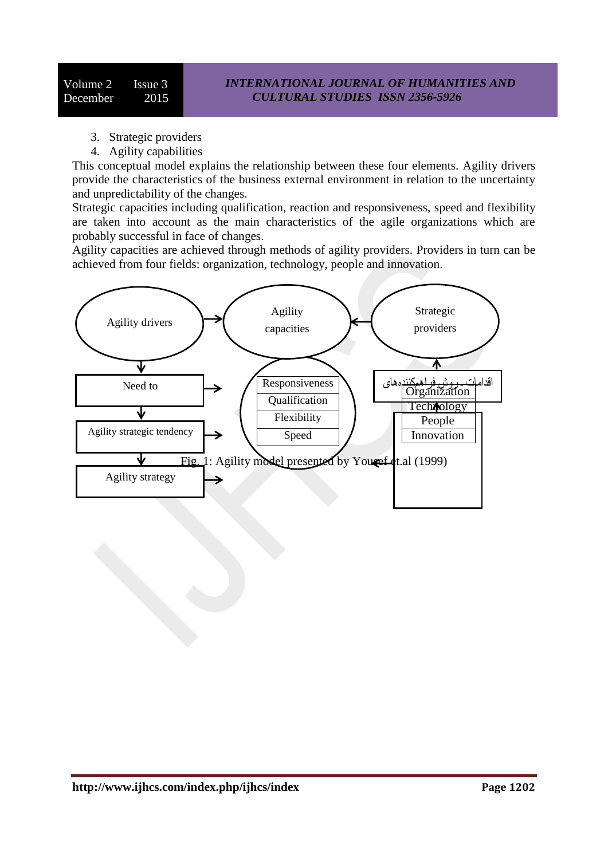- 3. Strategic providers
- 4. Agility capabilities

This conceptual model explains the relationship between these four elements. Agility drivers provide the characteristics of the business external environment in relation to the uncertainty and unpredictability of the changes.

Strategic capacities including qualification, reaction and responsiveness, speed and flexibility are taken into account as the main characteristics of the agile organizations which are probably successful in face of changes.

Agility capacities are achieved through methods of agility providers. Providers in turn can be achieved from four fields: organization, technology, people and innovation.

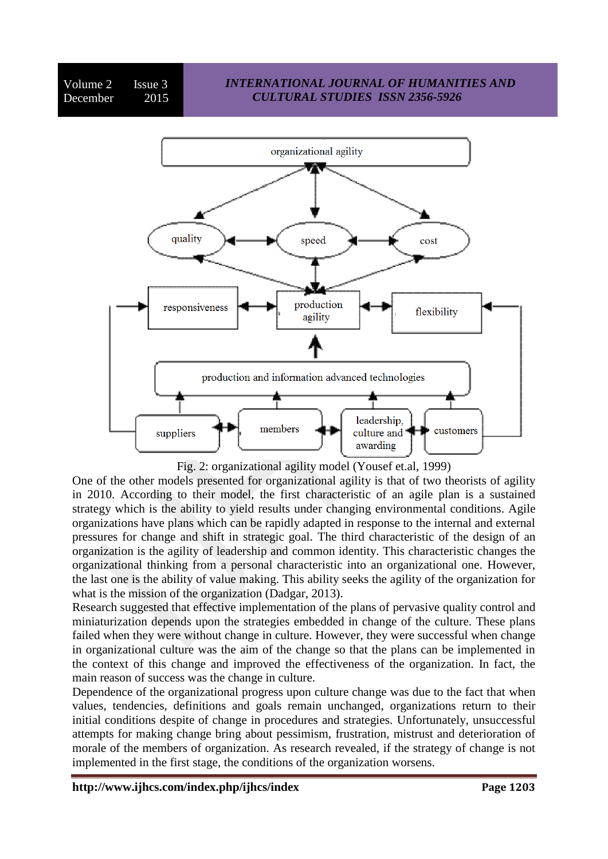

Fig. 2: organizational agility model (Yousef et.al, 1999)

One of the other models presented for organizational agility is that of two theorists of agility in 2010. According to their model, the first characteristic of an agile plan is a sustained strategy which is the ability to yield results under changing environmental conditions. Agile organizations have plans which can be rapidly adapted in response to the internal and external pressures for change and shift in strategic goal. The third characteristic of the design of an organization is the agility of leadership and common identity. This characteristic changes the organizational thinking from a personal characteristic into an organizational one. However, the last one is the ability of value making. This ability seeks the agility of the organization for what is the mission of the organization (Dadgar, 2013).

Research suggested that effective implementation of the plans of pervasive quality control and miniaturization depends upon the strategies embedded in change of the culture. These plans failed when they were without change in culture. However, they were successful when change in organizational culture was the aim of the change so that the plans can be implemented in the context of this change and improved the effectiveness of the organization. In fact, the main reason of success was the change in culture.

Dependence of the organizational progress upon culture change was due to the fact that when values, tendencies, definitions and goals remain unchanged, organizations return to their initial conditions despite of change in procedures and strategies. Unfortunately, unsuccessful attempts for making change bring about pessimism, frustration, mistrust and deterioration of morale of the members of organization. As research revealed, if the strategy of change is not implemented in the first stage, the conditions of the organization worsens.

**http://www.ijhcs.com/index.php/ijhcs/index Page 1203**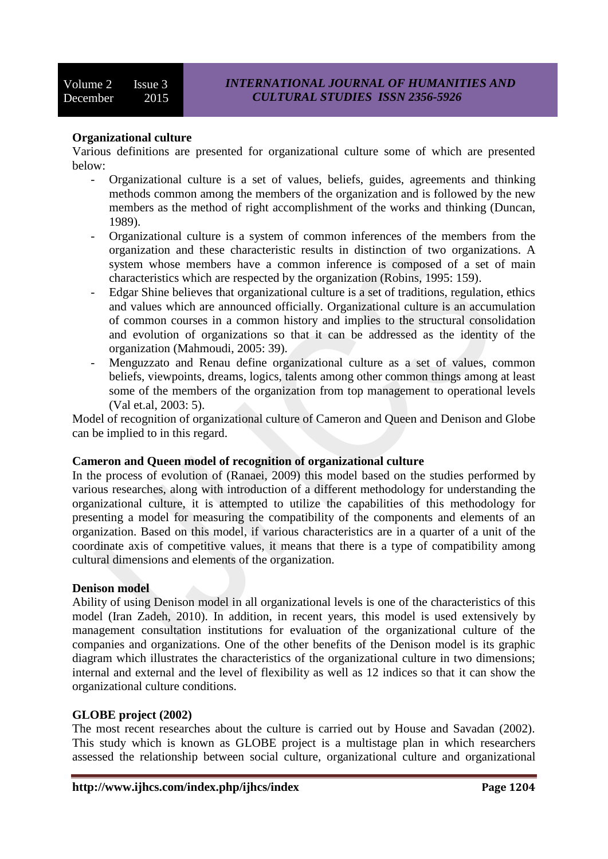## **Organizational culture**

Various definitions are presented for organizational culture some of which are presented below:

- Organizational culture is a set of values, beliefs, guides, agreements and thinking methods common among the members of the organization and is followed by the new members as the method of right accomplishment of the works and thinking (Duncan, 1989).
- Organizational culture is a system of common inferences of the members from the organization and these characteristic results in distinction of two organizations. A system whose members have a common inference is composed of a set of main characteristics which are respected by the organization (Robins, 1995: 159).
- Edgar Shine believes that organizational culture is a set of traditions, regulation, ethics and values which are announced officially. Organizational culture is an accumulation of common courses in a common history and implies to the structural consolidation and evolution of organizations so that it can be addressed as the identity of the organization (Mahmoudi, 2005: 39).
- Menguzzato and Renau define organizational culture as a set of values, common beliefs, viewpoints, dreams, logics, talents among other common things among at least some of the members of the organization from top management to operational levels (Val et.al, 2003: 5).

Model of recognition of organizational culture of Cameron and Queen and Denison and Globe can be implied to in this regard.

#### **Cameron and Queen model of recognition of organizational culture**

In the process of evolution of (Ranaei, 2009) this model based on the studies performed by various researches, along with introduction of a different methodology for understanding the organizational culture, it is attempted to utilize the capabilities of this methodology for presenting a model for measuring the compatibility of the components and elements of an organization. Based on this model, if various characteristics are in a quarter of a unit of the coordinate axis of competitive values, it means that there is a type of compatibility among cultural dimensions and elements of the organization.

#### **Denison model**

Ability of using Denison model in all organizational levels is one of the characteristics of this model (Iran Zadeh, 2010). In addition, in recent years, this model is used extensively by management consultation institutions for evaluation of the organizational culture of the companies and organizations. One of the other benefits of the Denison model is its graphic diagram which illustrates the characteristics of the organizational culture in two dimensions; internal and external and the level of flexibility as well as 12 indices so that it can show the organizational culture conditions.

#### **GLOBE project (2002)**

The most recent researches about the culture is carried out by House and Savadan (2002). This study which is known as GLOBE project is a multistage plan in which researchers assessed the relationship between social culture, organizational culture and organizational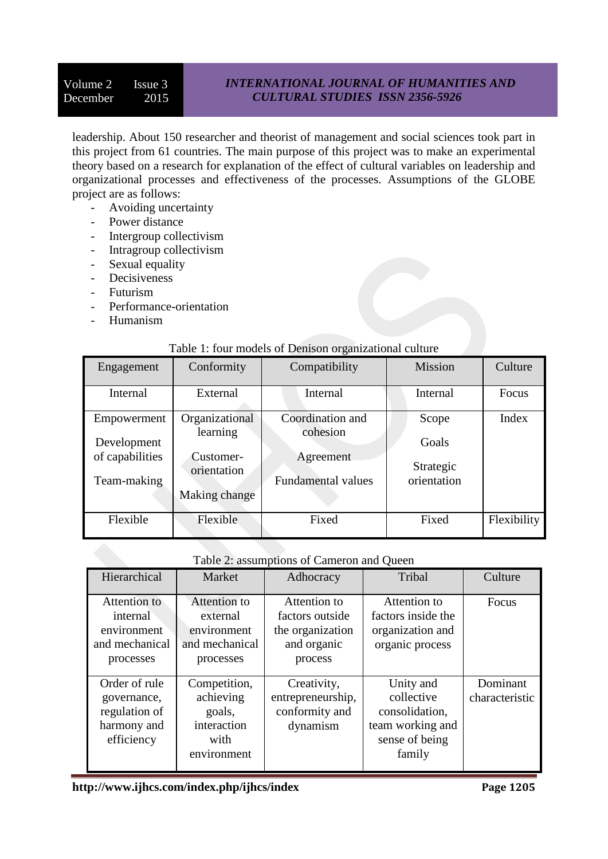## *INTERNATIONAL JOURNAL OF HUMANITIES AND CULTURAL STUDIES ISSN 2356-5926*

leadership. About 150 researcher and theorist of management and social sciences took part in this project from 61 countries. The main purpose of this project was to make an experimental theory based on a research for explanation of the effect of cultural variables on leadership and organizational processes and effectiveness of the processes. Assumptions of the GLOBE project are as follows:

- Avoiding uncertainty
- Power distance
- Intergroup collectivism
- Intragroup collectivism
- Sexual equality
- Decisiveness
- Futurism
- Performance-orientation
- Humanism

#### Table 1: four models of Denison organizational culture

| Engagement                                    | Conformity                                            | Compatibility                                      | <b>Mission</b>                    | Culture     |
|-----------------------------------------------|-------------------------------------------------------|----------------------------------------------------|-----------------------------------|-------------|
| Internal                                      | External                                              | Internal                                           | Internal                          | Focus       |
| Empowerment                                   | Organizational                                        | Coordination and                                   | Scope                             | Index       |
| Development<br>of capabilities<br>Team-making | learning<br>Customer-<br>orientation<br>Making change | cohesion<br>Agreement<br><b>Fundamental values</b> | Goals<br>Strategic<br>orientation |             |
| Flexible                                      | Flexible                                              | Fixed                                              | Fixed                             | Flexibility |

#### Table 2: assumptions of Cameron and Queen

| Hierarchical                                                               | Market                                                                    | Adhocracy                                                                     | Tribal                                                                                    | Culture                    |
|----------------------------------------------------------------------------|---------------------------------------------------------------------------|-------------------------------------------------------------------------------|-------------------------------------------------------------------------------------------|----------------------------|
| Attention to<br>internal<br>environment<br>and mechanical<br>processes     | Attention to<br>external<br>environment<br>and mechanical<br>processes    | Attention to<br>factors outside<br>the organization<br>and organic<br>process | Attention to<br>factors inside the<br>organization and<br>organic process                 | Focus                      |
| Order of rule<br>governance,<br>regulation of<br>harmony and<br>efficiency | Competition,<br>achieving<br>goals,<br>interaction<br>with<br>environment | Creativity,<br>entrepreneurship,<br>conformity and<br>dynamism                | Unity and<br>collective<br>consolidation,<br>team working and<br>sense of being<br>family | Dominant<br>characteristic |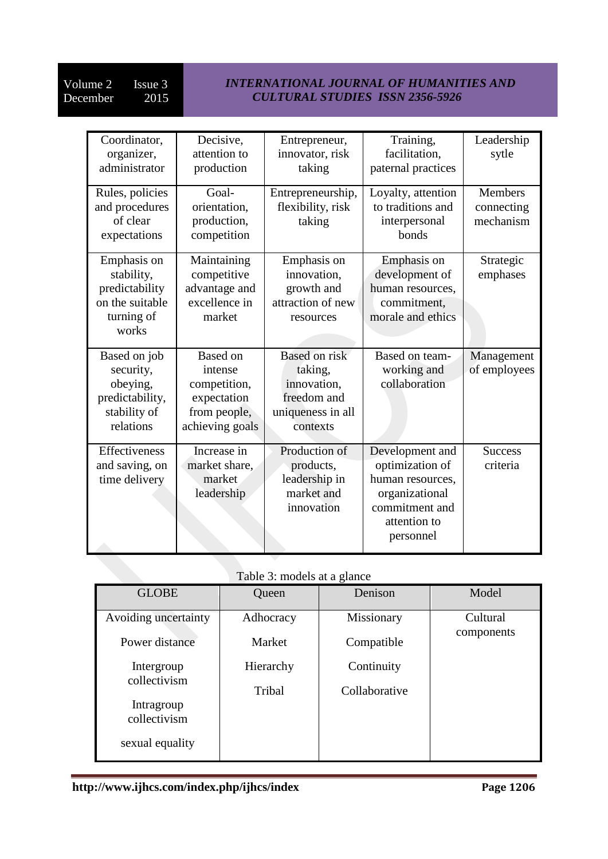## *INTERNATIONAL JOURNAL OF HUMANITIES AND CULTURAL STUDIES ISSN 2356-5926*

| Coordinator,<br>organizer,<br>administrator                                           | Decisive,<br>attention to<br>production                                                      | Entrepreneur,<br>innovator, risk<br>taking                                                     | Training,<br>facilitation,<br>paternal practices                                                                        | Leadership<br>sytle                       |
|---------------------------------------------------------------------------------------|----------------------------------------------------------------------------------------------|------------------------------------------------------------------------------------------------|-------------------------------------------------------------------------------------------------------------------------|-------------------------------------------|
| Rules, policies<br>and procedures<br>of clear<br>expectations                         | Goal-<br>orientation,<br>production,<br>competition                                          | Entrepreneurship,<br>flexibility, risk<br>taking                                               | Loyalty, attention<br>to traditions and<br>interpersonal<br>bonds                                                       | <b>Members</b><br>connecting<br>mechanism |
| Emphasis on<br>stability,<br>predictability<br>on the suitable<br>turning of<br>works | Maintaining<br>competitive<br>advantage and<br>excellence in<br>market                       | Emphasis on<br>innovation,<br>growth and<br>attraction of new<br>resources                     | Emphasis on<br>development of<br>human resources,<br>commitment,<br>morale and ethics                                   | Strategic<br>emphases                     |
| Based on job<br>security,<br>obeying,<br>predictability,<br>stability of<br>relations | <b>Based on</b><br>intense<br>competition,<br>expectation<br>from people,<br>achieving goals | <b>Based on risk</b><br>taking,<br>innovation,<br>freedom and<br>uniqueness in all<br>contexts | Based on team-<br>working and<br>collaboration                                                                          | Management<br>of employees                |
| Effectiveness<br>and saving, on<br>time delivery                                      | Increase in<br>market share,<br>market<br>leadership                                         | Production of<br>products,<br>leadership in<br>market and<br>innovation                        | Development and<br>optimization of<br>human resources,<br>organizational<br>commitment and<br>attention to<br>personnel | <b>Success</b><br>criteria                |

# Table 3: models at a glance

| Table 3: models at a glance                              |                     |                             |                        |  |  |  |
|----------------------------------------------------------|---------------------|-----------------------------|------------------------|--|--|--|
| <b>GLOBE</b>                                             | Queen               | Denison                     | Model                  |  |  |  |
| Avoiding uncertainty<br>Power distance                   | Adhocracy<br>Market | Missionary<br>Compatible    | Cultural<br>components |  |  |  |
| Intergroup<br>collectivism<br>Intragroup<br>collectivism | Hierarchy<br>Tribal | Continuity<br>Collaborative |                        |  |  |  |
| sexual equality                                          |                     |                             |                        |  |  |  |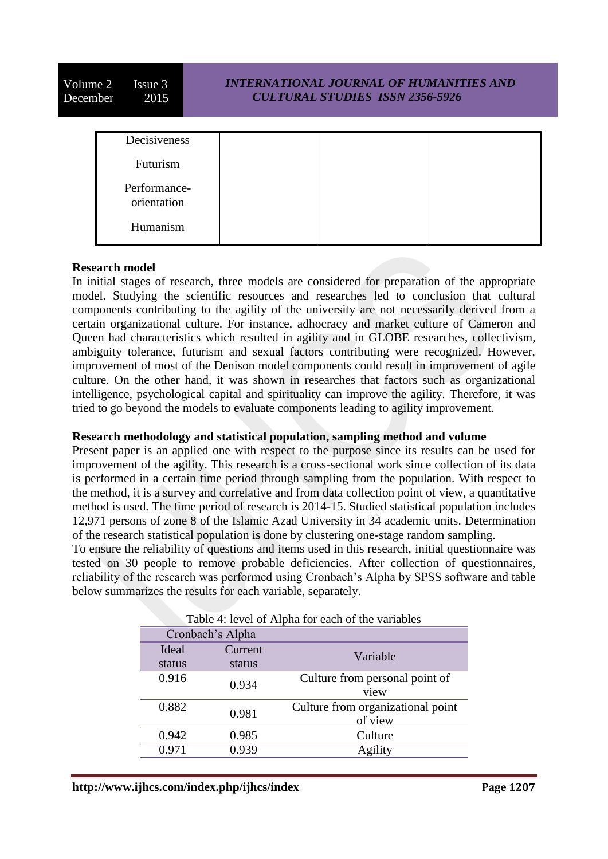Volume 2 Issue 3 December 2015 *INTERNATIONAL JOURNAL OF HUMANITIES AND CULTURAL STUDIES ISSN 2356-5926* Decisiveness Futurism Performance-

Humanism

orientation

#### **Research model**

In initial stages of research, three models are considered for preparation of the appropriate model. Studying the scientific resources and researches led to conclusion that cultural components contributing to the agility of the university are not necessarily derived from a certain organizational culture. For instance, adhocracy and market culture of Cameron and Queen had characteristics which resulted in agility and in GLOBE researches, collectivism, ambiguity tolerance, futurism and sexual factors contributing were recognized. However, improvement of most of the Denison model components could result in improvement of agile culture. On the other hand, it was shown in researches that factors such as organizational intelligence, psychological capital and spirituality can improve the agility. Therefore, it was tried to go beyond the models to evaluate components leading to agility improvement.

#### **Research methodology and statistical population, sampling method and volume**

Present paper is an applied one with respect to the purpose since its results can be used for improvement of the agility. This research is a cross-sectional work since collection of its data is performed in a certain time period through sampling from the population. With respect to the method, it is a survey and correlative and from data collection point of view, a quantitative method is used. The time period of research is 2014-15. Studied statistical population includes 12,971 persons of zone 8 of the Islamic Azad University in 34 academic units. Determination of the research statistical population is done by clustering one-stage random sampling.

To ensure the reliability of questions and items used in this research, initial questionnaire was tested on 30 people to remove probable deficiencies. After collection of questionnaires, reliability of the research was performed using Cronbach's Alpha by SPSS software and table below summarizes the results for each variable, separately.

| Table 4: level of Alpha for each of the variables |                  |                                   |  |  |  |  |
|---------------------------------------------------|------------------|-----------------------------------|--|--|--|--|
|                                                   | Cronbach's Alpha |                                   |  |  |  |  |
| Ideal                                             | Current          | Variable                          |  |  |  |  |
| status                                            | status           |                                   |  |  |  |  |
| 0.916                                             | 0.934            | Culture from personal point of    |  |  |  |  |
|                                                   |                  | view                              |  |  |  |  |
| 0.882                                             | 0.981            | Culture from organizational point |  |  |  |  |
|                                                   |                  | of view                           |  |  |  |  |
| 0.942                                             | 0.985            | Culture                           |  |  |  |  |
| 0.971                                             | 0.939            | Agility                           |  |  |  |  |
|                                                   |                  |                                   |  |  |  |  |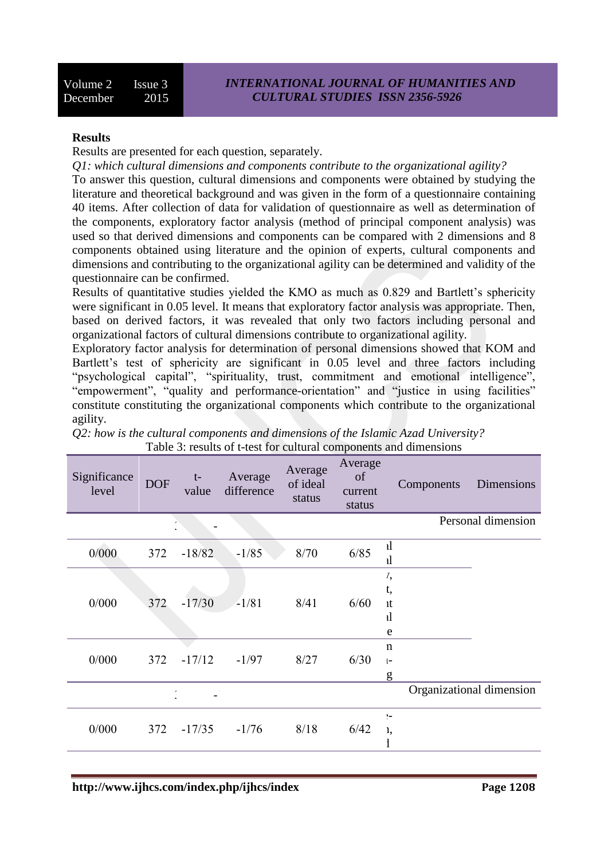#### **Results**

Results are presented for each question, separately.

*Q1: which cultural dimensions and components contribute to the organizational agility?*

To answer this question, cultural dimensions and components were obtained by studying the literature and theoretical background and was given in the form of a questionnaire containing 40 items. After collection of data for validation of questionnaire as well as determination of the components, exploratory factor analysis (method of principal component analysis) was used so that derived dimensions and components can be compared with 2 dimensions and 8 components obtained using literature and the opinion of experts, cultural components and dimensions and contributing to the organizational agility can be determined and validity of the questionnaire can be confirmed.

Results of quantitative studies yielded the KMO as much as 0.829 and Bartlett's sphericity were significant in 0.05 level. It means that exploratory factor analysis was appropriate. Then, based on derived factors, it was revealed that only two factors including personal and organizational factors of cultural dimensions contribute to organizational agility.

Exploratory factor analysis for determination of personal dimensions showed that KOM and Bartlett's test of sphericity are significant in 0.05 level and three factors including "psychological capital", "spirituality, trust, commitment and emotional intelligence", "empowerment", "quality and performance-orientation" and "justice in using facilities" constitute constituting the organizational components which contribute to the organizational agility.

| Significance<br>level | <b>DOF</b> | $t-$<br>value | Average<br>difference | Average<br>of ideal<br>status | Average<br>of<br>current<br>status |                                     | Components | Dimensions               |
|-----------------------|------------|---------------|-----------------------|-------------------------------|------------------------------------|-------------------------------------|------------|--------------------------|
|                       |            |               |                       |                               |                                    |                                     |            | Personal dimension       |
| 0/000                 | 372        | $-18/82$      | $-1/85$               | 8/70                          | 6/85                               | $\mathbf{d}$<br>$\mathbf{d}$        |            |                          |
| 0/000                 | 372        | $-17/30$      | $-1/81$               | 8/41                          | 6/60                               | 1,<br>t,<br>ıt<br>$\mathbf{d}$<br>e |            |                          |
| 0/000                 | 372        | $-17/12$      | $-1/97$               | 8/27                          | 6/30                               | $\mathbf n$<br>$\vert - \vert$<br>g |            |                          |
|                       |            | 1             |                       |                               |                                    |                                     |            | Organizational dimension |
| 0/000                 | 372        | $-17/35$      | $-1/76$               | 8/18                          | 6/42                               | $\frac{1}{2}$<br>1,                 |            |                          |

*Q2: how is the cultural components and dimensions of the Islamic Azad University?* Table 3: results of t-test for cultural components and dimensions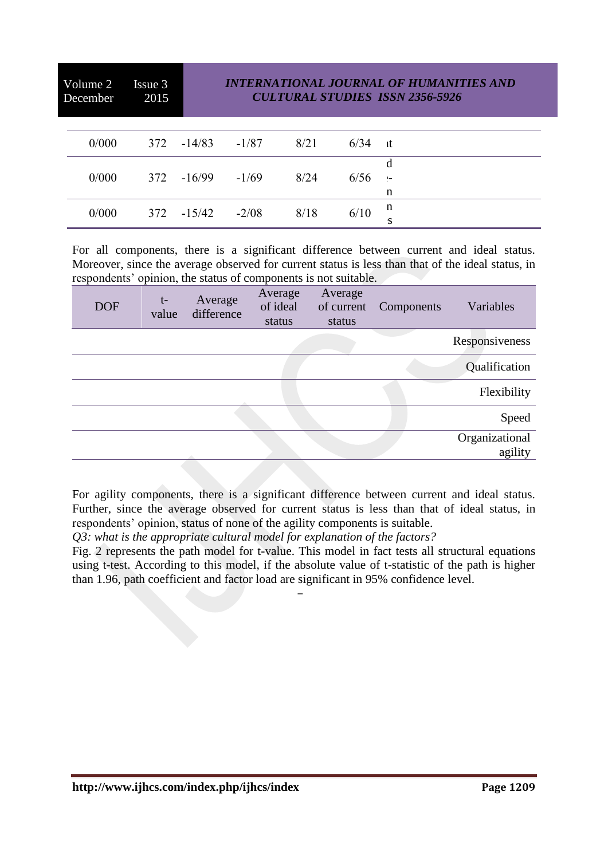Volume 2 Issue 3 December 2015

## *INTERNATIONAL JOURNAL OF HUMANITIES AND CULTURAL STUDIES ISSN 2356-5926*

| 0/000 |                      | $372 - 14/83 - 1/87$ 8/21 |      | $6/34$ it |              |
|-------|----------------------|---------------------------|------|-----------|--------------|
|       |                      |                           |      |           |              |
| 0/000 | $372 - 16/99 - 1/69$ |                           | 8/24 | $6/56$ :- |              |
|       |                      |                           |      |           | n            |
| 0/000 |                      | $372 -15/42 -2/08$ 8/18   |      | 6/10      | $\mathbf{u}$ |
|       |                      |                           |      |           | -S           |

For all components, there is a significant difference between current and ideal status. Moreover, since the average observed for current status is less than that of the ideal status, in respondents' opinion, the status of components is not suitable.

| <b>DOF</b> | $t-$<br>value | Average<br>difference | Average<br>of ideal<br>status | Average<br>of current<br>status | Components | Variables                 |
|------------|---------------|-----------------------|-------------------------------|---------------------------------|------------|---------------------------|
|            |               |                       |                               |                                 |            | Responsiveness            |
|            |               |                       |                               |                                 |            | Qualification             |
|            |               |                       |                               |                                 |            | Flexibility               |
|            |               |                       |                               |                                 |            | Speed                     |
|            |               |                       |                               |                                 |            | Organizational<br>agility |

For agility components, there is a significant difference between current and ideal status. Further, since the average observed for current status is less than that of ideal status, in respondents' opinion, status of none of the agility components is suitable.

*Q3: what is the appropriate cultural model for explanation of the factors?*

Fig. 2 represents the path model for t-value. This model in fact tests all structural equations using t-test. According to this model, if the absolute value of t-statistic of the path is higher than 1.96, path coefficient and factor load are significant in 95% confidence level.

-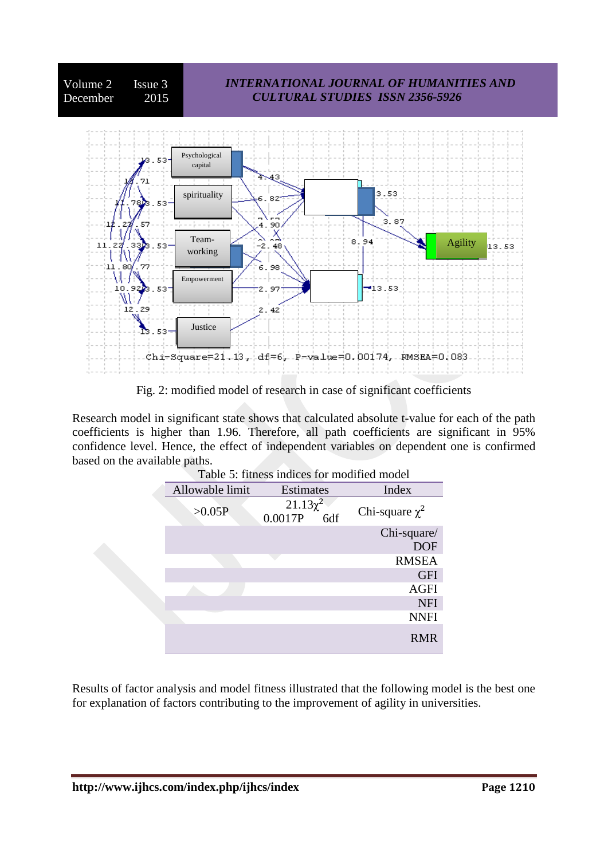

Fig. 2: modified model of research in case of significant coefficients

Research model in significant state shows that calculated absolute t-value for each of the path coefficients is higher than 1.96. Therefore, all path coefficients are significant in 95% confidence level. Hence, the effect of independent variables on dependent one is confirmed based on the available paths.

| Table 5: fitness indices for modified model |                                 |                     |  |  |  |  |  |  |
|---------------------------------------------|---------------------------------|---------------------|--|--|--|--|--|--|
| Allowable limit                             | Estimates                       | Index               |  |  |  |  |  |  |
| >0.05P                                      | $21.13\chi^2$<br>0.0017P<br>6df | Chi-square $\chi^2$ |  |  |  |  |  |  |
|                                             |                                 | Chi-square/         |  |  |  |  |  |  |
|                                             |                                 | <b>DOF</b>          |  |  |  |  |  |  |
|                                             |                                 | <b>RMSEA</b>        |  |  |  |  |  |  |
|                                             |                                 | <b>GFI</b>          |  |  |  |  |  |  |
|                                             |                                 | <b>AGFI</b>         |  |  |  |  |  |  |
|                                             |                                 | <b>NFI</b>          |  |  |  |  |  |  |
|                                             |                                 | <b>NNFI</b>         |  |  |  |  |  |  |
|                                             |                                 | <b>RMR</b>          |  |  |  |  |  |  |

Results of factor analysis and model fitness illustrated that the following model is the best one for explanation of factors contributing to the improvement of agility in universities.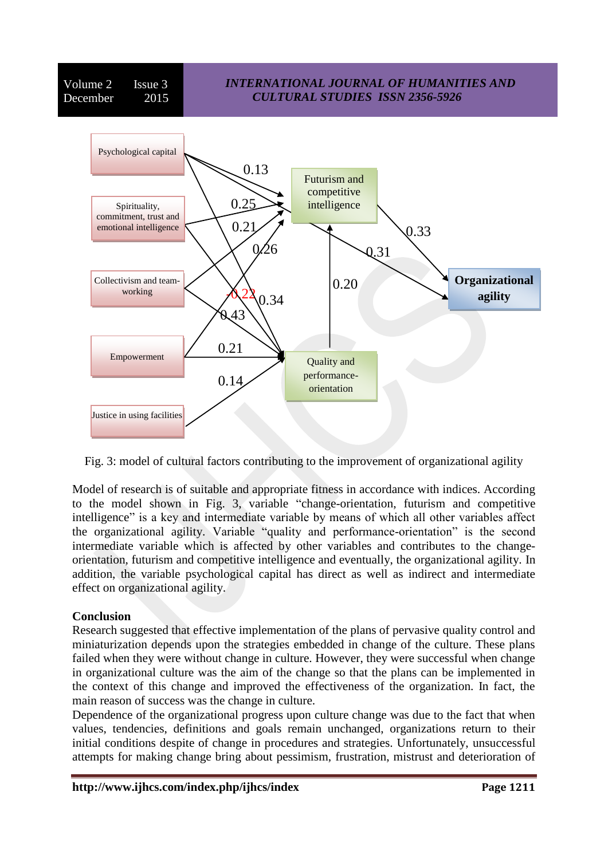Volume 2 Issue 3 December 2015

## *INTERNATIONAL JOURNAL OF HUMANITIES AND CULTURAL STUDIES ISSN 2356-5926*



Fig. 3: model of cultural factors contributing to the improvement of organizational agility

Model of research is of suitable and appropriate fitness in accordance with indices. According to the model shown in Fig. 3, variable "change-orientation, futurism and competitive intelligence" is a key and intermediate variable by means of which all other variables affect the organizational agility. Variable "quality and performance-orientation" is the second intermediate variable which is affected by other variables and contributes to the changeorientation, futurism and competitive intelligence and eventually, the organizational agility. In addition, the variable psychological capital has direct as well as indirect and intermediate effect on organizational agility.

## **Conclusion**

Research suggested that effective implementation of the plans of pervasive quality control and miniaturization depends upon the strategies embedded in change of the culture. These plans failed when they were without change in culture. However, they were successful when change in organizational culture was the aim of the change so that the plans can be implemented in the context of this change and improved the effectiveness of the organization. In fact, the main reason of success was the change in culture.

Dependence of the organizational progress upon culture change was due to the fact that when values, tendencies, definitions and goals remain unchanged, organizations return to their initial conditions despite of change in procedures and strategies. Unfortunately, unsuccessful attempts for making change bring about pessimism, frustration, mistrust and deterioration of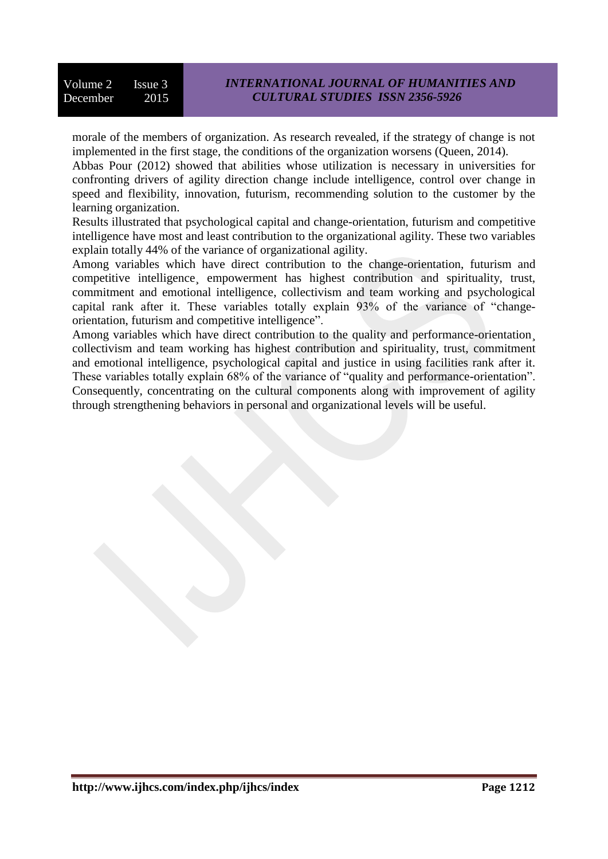morale of the members of organization. As research revealed, if the strategy of change is not implemented in the first stage, the conditions of the organization worsens (Queen, 2014).

Abbas Pour (2012) showed that abilities whose utilization is necessary in universities for confronting drivers of agility direction change include intelligence, control over change in speed and flexibility, innovation, futurism, recommending solution to the customer by the learning organization.

Results illustrated that psychological capital and change-orientation, futurism and competitive intelligence have most and least contribution to the organizational agility. These two variables explain totally 44% of the variance of organizational agility.

Among variables which have direct contribution to the change-orientation, futurism and competitive intelligence, empowerment has highest contribution and spirituality, trust, commitment and emotional intelligence, collectivism and team working and psychological capital rank after it. These variables totally explain 93% of the variance of "changeorientation, futurism and competitive intelligence".

Among variables which have direct contribution to the quality and performance-orientation¸ collectivism and team working has highest contribution and spirituality, trust, commitment and emotional intelligence, psychological capital and justice in using facilities rank after it. These variables totally explain 68% of the variance of "quality and performance-orientation". Consequently, concentrating on the cultural components along with improvement of agility through strengthening behaviors in personal and organizational levels will be useful.